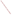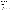# **Technical Factsheet on: 2,4 - D**

# [List of Contaminants](http://www.epa.gov/safewater/hfacts.html)

 As part of the Drinking Water and Health pages, this fact sheet is part of a larger publication: **National Primary Drinking Water Regulations** 

 MCL: 0.07 mg/L Drinking Water Standards MCLG: 0.07 mg/L HAL(child): 1 day: 1 mg/L; 10-day: 0.3 mg/L

## **Health Effects Summary**

 levels above the MCL. Acute: EPA has found 2,4-D to potentially cause nervous system damage from short-term exposures at

 child consuming 1 liter of water per day, a one-day exposure of 1 mg/L, or a ten-day exposure to 0.3 Drinking water levels of 2,4-D which are considered "safe" for short-term exposures: For a 10-kg (22 lb.) mg/L.

Chronic: 2,4-D has the potential to cause damage to the nervous system, kidneys and liver from longterm exposure at levels above the MCL.

 from lifetime exposures in drinking water. Cancer: There is inadequate evidence to state whether or not 2,4-D has the potential to cause cancer

## **Usage Patterns**

 2,4-D is registered in the US as a herbicide for the control of broad-leaf weeds in agriculture, and for control of woody plants along roadsides, railways, and utilities rights of way. It has been most widely used on such crops as wheat and corn, and on pasture and rangelands.

Other uses of 2,4-D include brush control in forests, to increase the latex output of old rubber trees, and as a jungle defoliant.

fruits to ripen at the same time for machine harvesting. It may also be used as a plant growth regulator to control fruit drop, such as on tomatoes to cause all

Froduction of 2,4-D was steady: from 48.2 million lbs. in 1978 to 45.1 million lbs in 1982. 1991 data indicates only that production exceeded 5000 lbs. In 1991, it was estimated that industries consumed 2,4- D as follows: agriculture, 83 percent; for industrial/commercial uses, 11 percent; for lawns and turf, 3 percent; for aquatic uses, 3 percent.

#### **Release Patterns**

Major environmental releases of 2,4-D are due to agricultural applications of systemic herbicides. It is also released as a result of the production or disposal of 2,4-D or its by-products. From 1987 to 1993, according to EPA's Toxic Chemical Release Inventory, 2,4-D releases to land and water totalled over 116,000 lbs., most of which was released to land. These releases were primarily from cane sugar-related industries (except refineries). The largest releases (10% or more of the total) occurred in Hawaii.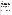## **Environmental Fate**

 There are a variety of microorganisms in soil, freshwater and marine ecosystems which are capable of degrading 2,4-D. If released on land, 2,4-D will probably readily biodegrade (typical half-lives <1 day to several weeks).

 increasing organic content and decreasing pH of soil. Leaching to groundwater will likely be a significant process in coarse-grained sandy soils with low organic content or with very basic soils. In general little 2,4-D can be desorbed from mineral soils, but not from those containing much organic matter. Reported experimental (free acid) KOC values are 19.6 to 109.1. Adsorption appears to increase with runoff occurs with 2,4-D or its amine salts and runoff behavior is the inverse of adsorption behavior. Thus,

 photolyzed, transported by wind either on dust or in vapor form, or leached downwards again. Percolating water appears to be the principal means of movement and diffusion is important only for transport over very small distance. Upward movement of 2,4-D occurs when the soil surface dries or if rapid evaporation occurs. Thus, 2,4-D can be concentrated at the soil surface, where it can be

 If released to water, it will be lost primarily due to biodegradation (typical half-lives 10 to >50 days). It will rapid in sediments (half-life <1 day). Half-lives of 2-4 days were reported for ultraviolet photolysis in water. be more persistent in oligotrophic waters and where high concentrations are released. Degradation will be

 Volatilization of 2,4-D free acid from water and soil is expected to be negligible based on its extremely low reported Henry's Law constant (1.02X10-8 atm-cu m/mole or less). It will not appreciably adsorb to sediments, especially at basic pH's. Its release to the air will also be subject to photooxidation (estimated half-life of 1 day).

There is no evidence that bioconcentration of 2,4-D occurs through the food chain. This has been demonstrated by large-scale monitoring for 2,4-D residues in soils, foods, feedstuffs, wildlife, human beings, and from examinations of the many routes of metabolism and degradation that exist in ecosystems.

 Exposure may also occur through ingestion of contaminated food products and drinking water. Human exposure will be primarily to those workers involved in the making and using 2,4-D compounds as herbicides as well as those who work in and live near fields sprayed and treated with 2,4-D compounds.

## **Chemical/ Physical Properties**

CAS Number: 94-75-7

(foam) Color/ Form/Odor: Colorless, odorless powder; available as soluble liquids, powder, dust, aerosol spray

M.P.: 138 C B.P.: 160 C

Vapor Pressure: 53 Pa at 160 C

Octanol/Water Partition (Kow): Log Kow = 2.81

Density/Spec. Grav.: 1.42 at 15 C

Density/Spec. Grav.: 1.42 at 15 C<br>Solubility: 0.5 g/L of water at 20 C; Slightly soluble in water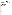Soil sorption coefficient: Koc values are 19.6 to 109.1; low to moderate mobility in soil

Odor/Taste Thresholds: N/A

Bioconcentration Factor: BCFs of 0.003 to 7 for various fish and aquatic plants; not expected to bioconcentrate in aquatic organisms.

Henry's Law Coefficient: 1.02x 10-8 atm-cu m/mole;

Trade Names/Synonyms: "Agent White", Bladex-B, Brush Killer 64, Dicofur, Dormon, Ipaner, Moxon, Netagrone, Pielik, Verton 38, Mota Maskros, Silvaprop 1, Agricorn D, Acme LV4, Croprider, Fernesta, Lawn-Keep, Pennamine D, Plantgard, Tributon, Weed-B-Gon, Weedatul, Agroxone, Weedar, Salvo, Green Cross Weed-No-More 80, Red Devil Dry Weed Killer, Scott's 4XD Weed Control, Weed-Rhap LV40, Weedone 100, 2,4-Dichlorophenoxyacetic acid

# **Other Regulatory Information**

Monitoring For Ground/Surface Water Sources:

 Initial Frequency- 4 quarterly samples every 3 years Repeat Frequency- If no detections during initial round: 2 quarterly per year if serving >3300 persons; 1 sample per 3 years for smaller systems 1 sample per 3 years for smaller systems Triggers - Return to Initial Freq. if detect at > 0.0005 mg/L

Analysis:

**Reference Source Method Numbers** 

EPA 600/4-88-039 515.1; 515.2; 555

 Granular Activated Charcoal Treatment- Best Available Technologies:

Toxic Release Inventory - Releases to Water and Land, 1987 to 1993 (in pounds):

|                         | Water |        | Land    |
|-------------------------|-------|--------|---------|
| <b>TOTALS</b>           | 3,444 |        | 113,358 |
| <b>Top Five States</b>  |       |        |         |
| HI                      | 0     | 73,679 |         |
| FL                      | 5     | 38,456 |         |
| <b>MO</b>               | 1,817 | 0      |         |
| MI                      | 822   | 8      |         |
| TX                      | 800   | 0      |         |
| <b>Major Industries</b> |       |        |         |
| Cane sugar              |       | 0      | 99,886  |
| Agri. chems.            |       | 2,616  | 815     |
| Plastics, resins        |       | 696    | 0       |
| Misc. manufact.         |       | 0      | 400     |
| Gen. Chemical.          |       | 126    | 8       |

 \* Water/Land totals only include facilities with releases greater than a certain amount - usually 1000 to 10,000 lbs.

## **For Additional Information:**

 EPA Safe Drinking Water Hotline - 800/426-4791 EPA can provide further regulatory and other general information: